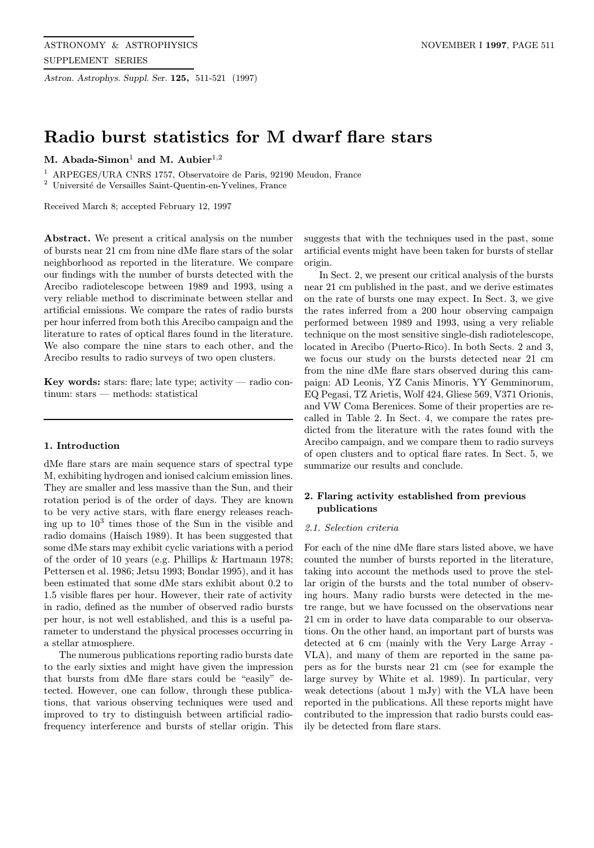Astron. Astrophys. Suppl. Ser. 125, 511-521 (1997)

# Radio burst statistics for M dwarf flare stars

M. Abada-Simon<sup>1</sup> and M. Aubier<sup>1,2</sup>

<sup>1</sup> ARPEGES/URA CNRS 1757, Observatoire de Paris, 92190 Meudon, France

 $^2\,$ Université de Versailles Saint-Quentin-en-Yvelines, France

Received March 8; accepted February 12, 1997

Abstract. We present a critical analysis on the number of bursts near 21 cm from nine dMe flare stars of the solar neighborhood as reported in the literature. We compare our findings with the number of bursts detected with the Arecibo radiotelescope between 1989 and 1993, using a very reliable method to discriminate between stellar and artificial emissions. We compare the rates of radio bursts per hour inferred from both this Arecibo campaign and the literature to rates of optical flares found in the literature. We also compare the nine stars to each other, and the Arecibo results to radio surveys of two open clusters.

Key words: stars: flare; late type; activity — radio continum: stars — methods: statistical

#### 1. Introduction

dMe flare stars are main sequence stars of spectral type M, exhibiting hydrogen and ionised calcium emission lines. They are smaller and less massive than the Sun, and their rotation period is of the order of days. They are known to be very active stars, with flare energy releases reaching up to  $10<sup>3</sup>$  times those of the Sun in the visible and radio domains (Haisch 1989). It has been suggested that some dMe stars may exhibit cyclic variations with a period of the order of 10 years (e.g. Phillips & Hartmann 1978; Pettersen et al. 1986; Jetsu 1993; Bondar 1995), and it has been estimated that some dMe stars exhibit about 0.2 to 1.5 visible flares per hour. However, their rate of activity in radio, defined as the number of observed radio bursts per hour, is not well established, and this is a useful parameter to understand the physical processes occurring in a stellar atmosphere.

The numerous publications reporting radio bursts date to the early sixties and might have given the impression that bursts from dMe flare stars could be "easily" detected. However, one can follow, through these publications, that various observing techniques were used and improved to try to distinguish between artificial radiofrequency interference and bursts of stellar origin. This

suggests that with the techniques used in the past, some artificial events might have been taken for bursts of stellar origin.

In Sect. 2, we present our critical analysis of the bursts near 21 cm published in the past, and we derive estimates on the rate of bursts one may expect. In Sect. 3, we give the rates inferred from a 200 hour observing campaign performed between 1989 and 1993, using a very reliable technique on the most sensitive single-dish radiotelescope, located in Arecibo (Puerto-Rico). In both Sects. 2 and 3, we focus our study on the bursts detected near 21 cm from the nine dMe flare stars observed during this campaign: AD Leonis, YZ Canis Minoris, YY Gemminorum, EQ Pegasi, TZ Arietis, Wolf 424, Gliese 569, V371 Orionis, and VW Coma Berenices. Some of their properties are recalled in Table 2. In Sect. 4, we compare the rates predicted from the literature with the rates found with the Arecibo campaign, and we compare them to radio surveys of open clusters and to optical flare rates. In Sect. 5, we summarize our results and conclude.

## 2. Flaring activity established from previous publications

#### 2.1. Selection criteria

For each of the nine dMe flare stars listed above, we have counted the number of bursts reported in the literature, taking into account the methods used to prove the stellar origin of the bursts and the total number of observing hours. Many radio bursts were detected in the metre range, but we have focussed on the observations near 21 cm in order to have data comparable to our observations. On the other hand, an important part of bursts was detected at 6 cm (mainly with the Very Large Array - VLA), and many of them are reported in the same papers as for the bursts near 21 cm (see for example the large survey by White et al. 1989). In particular, very weak detections (about 1 mJy) with the VLA have been reported in the publications. All these reports might have contributed to the impression that radio bursts could easily be detected from flare stars.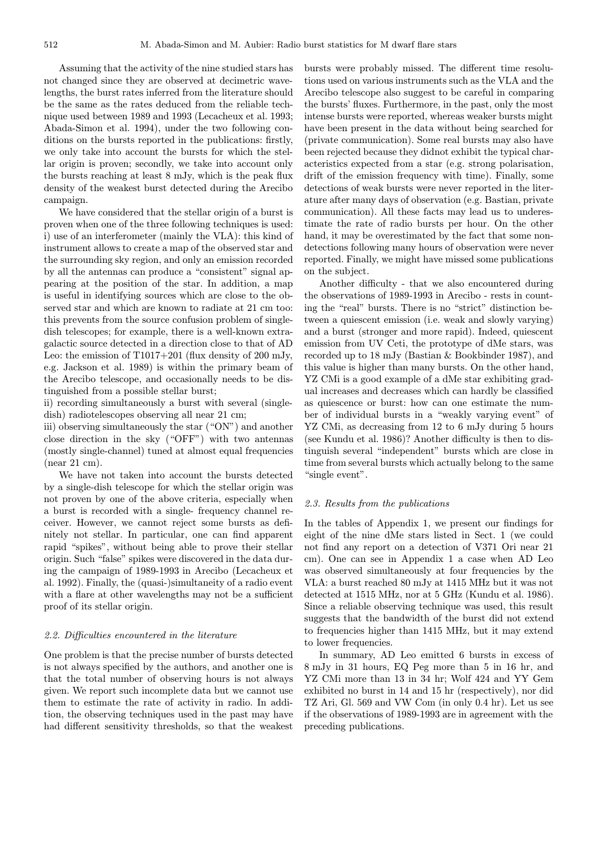Assuming that the activity of the nine studied stars has not changed since they are observed at decimetric wavelengths, the burst rates inferred from the literature should be the same as the rates deduced from the reliable technique used between 1989 and 1993 (Lecacheux et al. 1993; Abada-Simon et al. 1994), under the two following conditions on the bursts reported in the publications: firstly, we only take into account the bursts for which the stellar origin is proven; secondly, we take into account only the bursts reaching at least 8 mJy, which is the peak flux density of the weakest burst detected during the Arecibo campaign.

We have considered that the stellar origin of a burst is proven when one of the three following techniques is used: i) use of an interferometer (mainly the VLA): this kind of instrument allows to create a map of the observed star and the surrounding sky region, and only an emission recorded by all the antennas can produce a "consistent" signal appearing at the position of the star. In addition, a map is useful in identifying sources which are close to the observed star and which are known to radiate at 21 cm too: this prevents from the source confusion problem of singledish telescopes; for example, there is a well-known extragalactic source detected in a direction close to that of AD Leo: the emission of  $T1017+201$  (flux density of 200 mJy, e.g. Jackson et al. 1989) is within the primary beam of the Arecibo telescope, and occasionally needs to be distinguished from a possible stellar burst;

ii) recording simultaneously a burst with several (singledish) radiotelescopes observing all near 21 cm;

iii) observing simultaneously the star ("ON") and another close direction in the sky ("OFF") with two antennas (mostly single-channel) tuned at almost equal frequencies (near 21 cm).

We have not taken into account the bursts detected by a single-dish telescope for which the stellar origin was not proven by one of the above criteria, especially when a burst is recorded with a single- frequency channel receiver. However, we cannot reject some bursts as definitely not stellar. In particular, one can find apparent rapid "spikes", without being able to prove their stellar origin. Such "false" spikes were discovered in the data during the campaign of 1989-1993 in Arecibo (Lecacheux et al. 1992). Finally, the (quasi-)simultaneity of a radio event with a flare at other wavelengths may not be a sufficient proof of its stellar origin.

#### 2.2. Difficulties encountered in the literature

One problem is that the precise number of bursts detected is not always specified by the authors, and another one is that the total number of observing hours is not always given. We report such incomplete data but we cannot use them to estimate the rate of activity in radio. In addition, the observing techniques used in the past may have had different sensitivity thresholds, so that the weakest

bursts were probably missed. The different time resolutions used on various instruments such as the VLA and the Arecibo telescope also suggest to be careful in comparing the bursts' fluxes. Furthermore, in the past, only the most intense bursts were reported, whereas weaker bursts might have been present in the data without being searched for (private communication). Some real bursts may also have been rejected because they didnot exhibit the typical characteristics expected from a star (e.g. strong polarisation, drift of the emission frequency with time). Finally, some detections of weak bursts were never reported in the literature after many days of observation (e.g. Bastian, private communication). All these facts may lead us to underestimate the rate of radio bursts per hour. On the other hand, it may be overestimated by the fact that some nondetections following many hours of observation were never reported. Finally, we might have missed some publications on the subject.

Another difficulty - that we also encountered during the observations of 1989-1993 in Arecibo - rests in counting the "real" bursts. There is no "strict" distinction between a quiescent emission (i.e. weak and slowly varying) and a burst (stronger and more rapid). Indeed, quiescent emission from UV Ceti, the prototype of dMe stars, was recorded up to 18 mJy (Bastian & Bookbinder 1987), and this value is higher than many bursts. On the other hand, YZ CMi is a good example of a dMe star exhibiting gradual increases and decreases which can hardly be classified as quiescence or burst: how can one estimate the number of individual bursts in a "weakly varying event" of YZ CMi, as decreasing from 12 to 6 mJy during 5 hours (see Kundu et al. 1986)? Another difficulty is then to distinguish several "independent" bursts which are close in time from several bursts which actually belong to the same "single event".

#### 2.3. Results from the publications

In the tables of Appendix 1, we present our findings for eight of the nine dMe stars listed in Sect. 1 (we could not find any report on a detection of V371 Ori near 21 cm). One can see in Appendix 1 a case when AD Leo was observed simultaneously at four frequencies by the VLA: a burst reached 80 mJy at 1415 MHz but it was not detected at 1515 MHz, nor at 5 GHz (Kundu et al. 1986). Since a reliable observing technique was used, this result suggests that the bandwidth of the burst did not extend to frequencies higher than 1415 MHz, but it may extend to lower frequencies.

In summary, AD Leo emitted 6 bursts in excess of 8 mJy in 31 hours, EQ Peg more than 5 in 16 hr, and YZ CMi more than 13 in 34 hr; Wolf 424 and YY Gem exhibited no burst in 14 and 15 hr (respectively), nor did TZ Ari, Gl. 569 and VW Com (in only 0.4 hr). Let us see if the observations of 1989-1993 are in agreement with the preceding publications.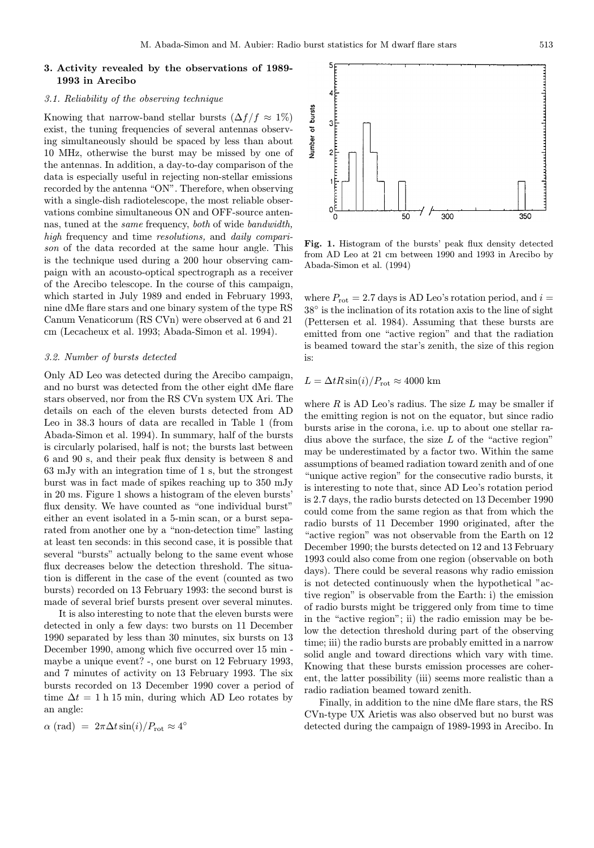## 3. Activity revealed by the observations of 1989- 1993 in Arecibo

#### 3.1. Reliability of the observing technique

Knowing that narrow-band stellar bursts  $(\Delta f / f \approx 1\%)$ exist, the tuning frequencies of several antennas observing simultaneously should be spaced by less than about 10 MHz, otherwise the burst may be missed by one of the antennas. In addition, a day-to-day comparison of the data is especially useful in rejecting non-stellar emissions recorded by the antenna "ON". Therefore, when observing with a single-dish radiotelescope, the most reliable observations combine simultaneous ON and OFF-source antennas, tuned at the same frequency, both of wide bandwidth, high frequency and time *resolutions*, and *daily compari*son of the data recorded at the same hour angle. This is the technique used during a 200 hour observing campaign with an acousto-optical spectrograph as a receiver of the Arecibo telescope. In the course of this campaign, which started in July 1989 and ended in February 1993, nine dMe flare stars and one binary system of the type RS Canum Venaticorum (RS CVn) were observed at 6 and 21 cm (Lecacheux et al. 1993; Abada-Simon et al. 1994).

#### 3.2. Number of bursts detected

Only AD Leo was detected during the Arecibo campaign, and no burst was detected from the other eight dMe flare stars observed, nor from the RS CVn system UX Ari. The details on each of the eleven bursts detected from AD Leo in 38.3 hours of data are recalled in Table 1 (from Abada-Simon et al. 1994). In summary, half of the bursts is circularly polarised, half is not; the bursts last between 6 and 90 s, and their peak flux density is between 8 and 63 mJy with an integration time of 1 s, but the strongest burst was in fact made of spikes reaching up to 350 mJy in 20 ms. Figure 1 shows a histogram of the eleven bursts' flux density. We have counted as "one individual burst" either an event isolated in a 5-min scan, or a burst separated from another one by a "non-detection time" lasting at least ten seconds: in this second case, it is possible that several "bursts" actually belong to the same event whose flux decreases below the detection threshold. The situation is different in the case of the event (counted as two bursts) recorded on 13 February 1993: the second burst is made of several brief bursts present over several minutes.

It is also interesting to note that the eleven bursts were detected in only a few days: two bursts on 11 December 1990 separated by less than 30 minutes, six bursts on 13 December 1990, among which five occurred over 15 min maybe a unique event? -, one burst on 12 February 1993, and 7 minutes of activity on 13 February 1993. The six bursts recorded on 13 December 1990 cover a period of time  $\Delta t = 1$  h 15 min, during which AD Leo rotates by an angle:

 $\alpha$  (rad) =  $2\pi\Delta t \sin(i)/P_{\rm rot} \approx 4^{\circ}$ 



Fig. 1. Histogram of the bursts' peak flux density detected from AD Leo at 21 cm between 1990 and 1993 in Arecibo by Abada-Simon et al. (1994)

where  $P_{\rm rot} = 2.7$  days is AD Leo's rotation period, and  $i =$ 38◦ is the inclination of its rotation axis to the line of sight (Pettersen et al. 1984). Assuming that these bursts are emitted from one "active region" and that the radiation is beamed toward the star's zenith, the size of this region is:

$$
L = \Delta t R \sin(i) / P_{\rm rot} \approx 4000 \text{ km}
$$

where  $R$  is AD Leo's radius. The size  $L$  may be smaller if the emitting region is not on the equator, but since radio bursts arise in the corona, i.e. up to about one stellar radius above the surface, the size L of the "active region" may be underestimated by a factor two. Within the same assumptions of beamed radiation toward zenith and of one "unique active region" for the consecutive radio bursts, it is interesting to note that, since AD Leo's rotation period is 2.7 days, the radio bursts detected on 13 December 1990 could come from the same region as that from which the radio bursts of 11 December 1990 originated, after the "active region" was not observable from the Earth on 12 December 1990; the bursts detected on 12 and 13 February 1993 could also come from one region (observable on both days). There could be several reasons why radio emission is not detected continuously when the hypothetical "active region" is observable from the Earth: i) the emission of radio bursts might be triggered only from time to time in the "active region"; ii) the radio emission may be below the detection threshold during part of the observing time; iii) the radio bursts are probably emitted in a narrow solid angle and toward directions which vary with time. Knowing that these bursts emission processes are coherent, the latter possibility (iii) seems more realistic than a radio radiation beamed toward zenith.

Finally, in addition to the nine dMe flare stars, the RS CVn-type UX Arietis was also observed but no burst was detected during the campaign of 1989-1993 in Arecibo. In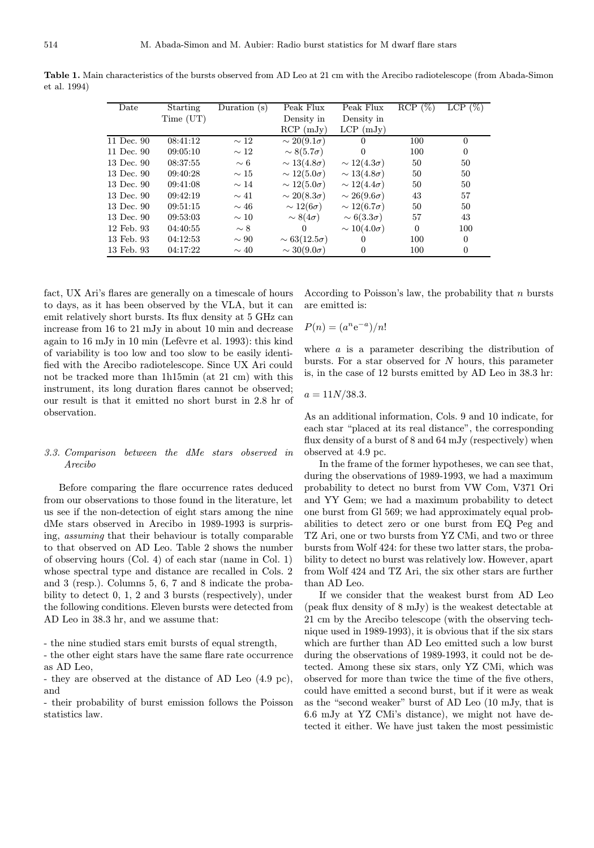| Date       | Starting  | Duration $(s)$ | Peak Flux             | Peak Flux            | RCP(%)   | LCP(%)         |
|------------|-----------|----------------|-----------------------|----------------------|----------|----------------|
|            | Time (UT) |                | Density in            | Density in           |          |                |
|            |           |                | $RCP$ (mJy)           | $LCP$ (mJy)          |          |                |
| 11 Dec. 90 | 08:41:12  | $\sim 12$      | $\sim 20(9.1\sigma)$  | $\Omega$             | 100      | $\overline{0}$ |
| 11 Dec. 90 | 09:05:10  | $\sim 12$      | $\sim 8(5.7\sigma)$   | $\Omega$             | 100      | $\theta$       |
| 13 Dec. 90 | 08:37:55  | $\sim 6$       | $\sim 13(4.8\sigma)$  | $\sim 12(4.3\sigma)$ | 50       | 50             |
| 13 Dec. 90 | 09:40:28  | $\sim 15$      | $\sim 12(5.0\sigma)$  | $\sim 13(4.8\sigma)$ | 50       | 50             |
| 13 Dec. 90 | 09:41:08  | $\sim$ 14      | $\sim 12(5.0\sigma)$  | $\sim 12(4.4\sigma)$ | 50       | 50             |
| 13 Dec. 90 | 09:42:19  | $\sim 41$      | $\sim 20(8.3\sigma)$  | $\sim 26(9.6\sigma)$ | 43       | 57             |
| 13 Dec. 90 | 09:51:15  | $\sim 46$      | $\sim 12(6\sigma)$    | $\sim 12(6.7\sigma)$ | 50       | 50             |
| 13 Dec. 90 | 09:53:03  | $\sim$ 10      | $\sim 8(4\sigma)$     | $\sim 6(3.3\sigma)$  | 57       | 43             |
| 12 Feb. 93 | 04:40:55  | $\sim 8$       | $\theta$              | $\sim 10(4.0\sigma)$ | $\theta$ | 100            |
| 13 Feb. 93 | 04:12:53  | $\sim 90$      | $\sim 63(12.5\sigma)$ | $\overline{0}$       | 100      | $\overline{0}$ |
| 13 Feb. 93 | 04:17:22  | $\sim$ 40      | $\sim 30(9.0\sigma)$  | 0                    | 100      | $\overline{0}$ |

Table 1. Main characteristics of the bursts observed from AD Leo at 21 cm with the Arecibo radiotelescope (from Abada-Simon et al. 1994)

fact, UX Ari's flares are generally on a timescale of hours to days, as it has been observed by the VLA, but it can emit relatively short bursts. Its flux density at 5 GHz can increase from 16 to 21 mJy in about 10 min and decrease again to  $16 \text{ mJy in } 10 \text{ min}$  (Lefèvre et al. 1993): this kind of variability is too low and too slow to be easily identified with the Arecibo radiotelescope. Since UX Ari could not be tracked more than 1h15min (at 21 cm) with this instrument, its long duration flares cannot be observed; our result is that it emitted no short burst in 2.8 hr of observation.

## 3.3. Comparison between the dMe stars observed in Arecibo

Before comparing the flare occurrence rates deduced from our observations to those found in the literature, let us see if the non-detection of eight stars among the nine dMe stars observed in Arecibo in 1989-1993 is surprising, assuming that their behaviour is totally comparable to that observed on AD Leo. Table 2 shows the number of observing hours (Col. 4) of each star (name in Col. 1) whose spectral type and distance are recalled in Cols. 2 and 3 (resp.). Columns 5, 6, 7 and 8 indicate the probability to detect 0, 1, 2 and 3 bursts (respectively), under the following conditions. Eleven bursts were detected from AD Leo in 38.3 hr, and we assume that:

- the nine studied stars emit bursts of equal strength,

- the other eight stars have the same flare rate occurrence as AD Leo,

- they are observed at the distance of AD Leo (4.9 pc), and

- their probability of burst emission follows the Poisson statistics law.

According to Poisson's law, the probability that  $n$  bursts are emitted is:

$$
P(n) = (a^n e^{-a})/n!
$$

where  $\alpha$  is a parameter describing the distribution of bursts. For a star observed for N hours, this parameter is, in the case of 12 bursts emitted by AD Leo in 38.3 hr:

$$
a = 11N/38.3.
$$

As an additional information, Cols. 9 and 10 indicate, for each star "placed at its real distance", the corresponding flux density of a burst of 8 and 64 mJy (respectively) when observed at 4.9 pc.

In the frame of the former hypotheses, we can see that, during the observations of 1989-1993, we had a maximum probability to detect no burst from VW Com, V371 Ori and YY Gem; we had a maximum probability to detect one burst from Gl 569; we had approximately equal probabilities to detect zero or one burst from EQ Peg and TZ Ari, one or two bursts from YZ CMi, and two or three bursts from Wolf 424: for these two latter stars, the probability to detect no burst was relatively low. However, apart from Wolf 424 and TZ Ari, the six other stars are further than AD Leo.

If we consider that the weakest burst from AD Leo (peak flux density of 8 mJy) is the weakest detectable at 21 cm by the Arecibo telescope (with the observing technique used in 1989-1993), it is obvious that if the six stars which are further than AD Leo emitted such a low burst during the observations of 1989-1993, it could not be detected. Among these six stars, only YZ CMi, which was observed for more than twice the time of the five others, could have emitted a second burst, but if it were as weak as the "second weaker" burst of AD Leo (10 mJy, that is 6.6 mJy at YZ CMi's distance), we might not have detected it either. We have just taken the most pessimistic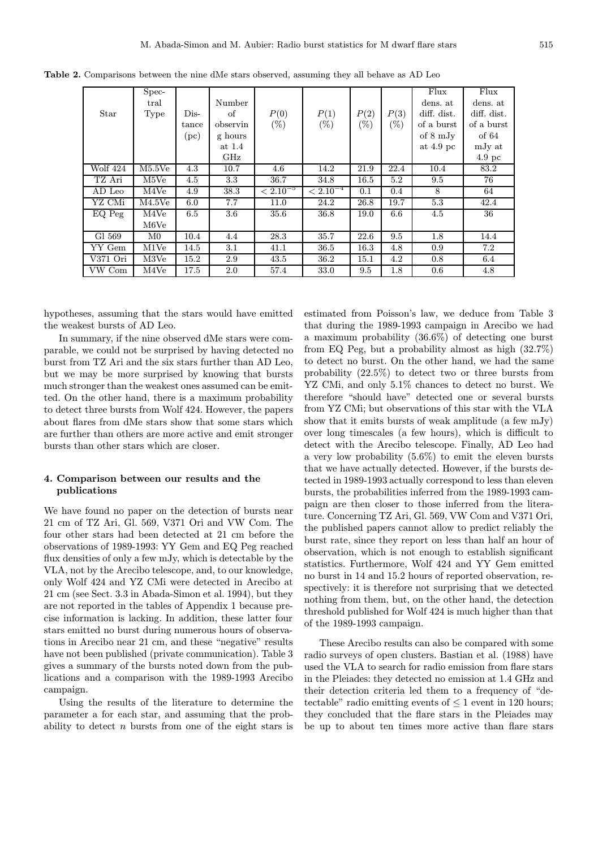|          | Spec-             |        |          |               |               |        |        | Flux        | Flux              |
|----------|-------------------|--------|----------|---------------|---------------|--------|--------|-------------|-------------------|
|          | tral              |        | Number   |               |               |        |        | dens. at    | dens. at          |
| Star     | Type              | $Dis-$ | οf       | P(0)          | P(1)          | P(2)   | P(3)   | diff. dist. | diff. dist.       |
|          |                   | tance  | observin | $(\% )$       | $(\%)$        | $(\%)$ | $(\%)$ | of a burst  | of a burst        |
|          |                   | (pc)   | g hours  |               |               |        |        | of 8 mJy    | of 64             |
|          |                   |        | at 1.4   |               |               |        |        | at $4.9$ pc | mJy at            |
|          |                   |        | GHz      |               |               |        |        |             | 4.9 <sub>pc</sub> |
| Wolf 424 | M5.5Ve            | 4.3    | 10.7     | 4.6           | 14.2          | 21.9   | 22.4   | 10.4        | 83.2              |
| TZ Ari   | M <sub>5</sub> Ve | 4.5    | 3.3      | 36.7          | 34.8          | 16.5   | 5.2    | 9.5         | 76                |
| AD Leo   | M4Ve              | 4.9    | 38.3     | $< 2.10^{-5}$ | $< 2.10^{-4}$ | 0.1    | 0.4    | 8           | 64                |
| YZ CMi   | M4.5Ve            | 6.0    | 7.7      | 11.0          | 24.2          | 26.8   | 19.7   | 5.3         | 42.4              |
| EQ Peg   | M4Ve              | 6.5    | 3.6      | 35.6          | 36.8          | 19.0   | 6.6    | 4.5         | 36                |
|          | M6Ve              |        |          |               |               |        |        |             |                   |
| Gl 569   | M <sub>0</sub>    | 10.4   | 4.4      | 28.3          | 35.7          | 22.6   | 9.5    | 1.8         | 14.4              |
| YY Gem   | M1Ve              | 14.5   | 3.1      | 41.1          | 36.5          | 16.3   | 4.8    | 0.9         | 7.2               |
| V371 Ori | M3Ve              | 15.2   | 2.9      | 43.5          | 36.2          | 15.1   | 4.2    | 0.8         | 6.4               |
| VW Com   | M4Ve              | 17.5   | 2.0      | 57.4          | 33.0          | 9.5    | 1.8    | 0.6         | 4.8               |

Table 2. Comparisons between the nine dMe stars observed, assuming they all behave as AD Leo

hypotheses, assuming that the stars would have emitted the weakest bursts of AD Leo.

In summary, if the nine observed dMe stars were comparable, we could not be surprised by having detected no burst from TZ Ari and the six stars further than AD Leo, but we may be more surprised by knowing that bursts much stronger than the weakest ones assumed can be emitted. On the other hand, there is a maximum probability to detect three bursts from Wolf 424. However, the papers about flares from dMe stars show that some stars which are further than others are more active and emit stronger bursts than other stars which are closer.

## 4. Comparison between our results and the publications

We have found no paper on the detection of bursts near 21 cm of TZ Ari, Gl. 569, V371 Ori and VW Com. The four other stars had been detected at 21 cm before the observations of 1989-1993: YY Gem and EQ Peg reached flux densities of only a few mJy, which is detectable by the VLA, not by the Arecibo telescope, and, to our knowledge, only Wolf 424 and YZ CMi were detected in Arecibo at 21 cm (see Sect. 3.3 in Abada-Simon et al. 1994), but they are not reported in the tables of Appendix 1 because precise information is lacking. In addition, these latter four stars emitted no burst during numerous hours of observations in Arecibo near 21 cm, and these "negative" results have not been published (private communication). Table 3 gives a summary of the bursts noted down from the publications and a comparison with the 1989-1993 Arecibo campaign.

Using the results of the literature to determine the parameter a for each star, and assuming that the probability to detect  $n$  bursts from one of the eight stars is estimated from Poisson's law, we deduce from Table 3 that during the 1989-1993 campaign in Arecibo we had a maximum probability (36.6%) of detecting one burst from EQ Peg, but a probability almost as high (32.7%) to detect no burst. On the other hand, we had the same probability (22.5%) to detect two or three bursts from YZ CMi, and only 5.1% chances to detect no burst. We therefore "should have" detected one or several bursts from YZ CMi; but observations of this star with the VLA show that it emits bursts of weak amplitude (a few mJy) over long timescales (a few hours), which is difficult to detect with the Arecibo telescope. Finally, AD Leo had a very low probability (5.6%) to emit the eleven bursts that we have actually detected. However, if the bursts detected in 1989-1993 actually correspond to less than eleven bursts, the probabilities inferred from the 1989-1993 campaign are then closer to those inferred from the literature. Concerning TZ Ari, Gl. 569, VW Com and V371 Ori, the published papers cannot allow to predict reliably the burst rate, since they report on less than half an hour of observation, which is not enough to establish significant statistics. Furthermore, Wolf 424 and YY Gem emitted no burst in 14 and 15.2 hours of reported observation, respectively: it is therefore not surprising that we detected nothing from them, but, on the other hand, the detection threshold published for Wolf 424 is much higher than that of the 1989-1993 campaign.

These Arecibo results can also be compared with some radio surveys of open clusters. Bastian et al. (1988) have used the VLA to search for radio emission from flare stars in the Pleiades: they detected no emission at 1.4 GHz and their detection criteria led them to a frequency of "detectable" radio emitting events of  $\leq 1$  event in 120 hours; they concluded that the flare stars in the Pleiades may be up to about ten times more active than flare stars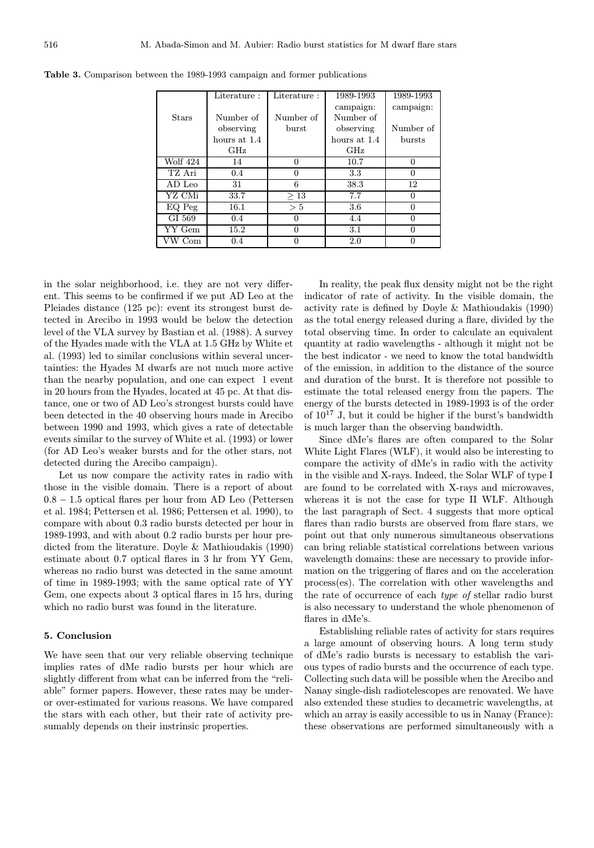|              | Literature:  | Literature: | 1989-1993    | 1989-1993     |
|--------------|--------------|-------------|--------------|---------------|
|              |              |             | campaign:    | campaign:     |
| <b>Stars</b> | Number of    | Number of   | Number of    |               |
|              | observing    | burst       | observing    | Number of     |
|              | hours at 1.4 |             | hours at 1.4 | <b>bursts</b> |
|              | GHz          |             | GHz          |               |
| Wolf 424     | 14           | $\Omega$    | 10.7         | $\Omega$      |
| TZ Ari       | 0.4          | O           | 3.3          | 0             |
| AD Leo       | 31           | 6           | 38.3         | 12            |
| YZ CMi       | 33.7         | >13         | 7.7          | 0             |
| EQ Peg       | 16.1         | > 5         | 3.6          | $\Omega$      |
| GI 569       | 0.4          | 0           | 4.4          | $\Omega$      |
| YY Gem       | 15.2         | 0           | 3.1          | $\Omega$      |
| VW Com       | 0.4          |             | 2.0          |               |

Table 3. Comparison between the 1989-1993 campaign and former publications

in the solar neighborhood, i.e. they are not very different. This seems to be confirmed if we put AD Leo at the Pleiades distance (125 pc): event its strongest burst detected in Arecibo in 1993 would be below the detection level of the VLA survey by Bastian et al. (1988). A survey of the Hyades made with the VLA at 1.5 GHz by White et al. (1993) led to similar conclusions within several uncertainties: the Hyades M dwarfs are not much more active than the nearby population, and one can expect 1 event in 20 hours from the Hyades, located at 45 pc. At that distance, one or two of AD Leo's strongest bursts could have been detected in the 40 observing hours made in Arecibo between 1990 and 1993, which gives a rate of detectable events similar to the survey of White et al. (1993) or lower (for AD Leo's weaker bursts and for the other stars, not detected during the Arecibo campaign).

Let us now compare the activity rates in radio with those in the visible domain. There is a report of about 0.8 − 1.5 optical flares per hour from AD Leo (Pettersen et al. 1984; Pettersen et al. 1986; Pettersen et al. 1990), to compare with about 0.3 radio bursts detected per hour in 1989-1993, and with about 0.2 radio bursts per hour predicted from the literature. Doyle & Mathioudakis (1990) estimate about 0.7 optical flares in 3 hr from YY Gem, whereas no radio burst was detected in the same amount of time in 1989-1993; with the same optical rate of YY Gem, one expects about 3 optical flares in 15 hrs, during which no radio burst was found in the literature.

## 5. Conclusion

We have seen that our very reliable observing technique implies rates of dMe radio bursts per hour which are slightly different from what can be inferred from the "reliable" former papers. However, these rates may be underor over-estimated for various reasons. We have compared the stars with each other, but their rate of activity presumably depends on their instrinsic properties.

In reality, the peak flux density might not be the right indicator of rate of activity. In the visible domain, the activity rate is defined by Doyle & Mathioudakis (1990) as the total energy released during a flare, divided by the total observing time. In order to calculate an equivalent quantity at radio wavelengths - although it might not be the best indicator - we need to know the total bandwidth of the emission, in addition to the distance of the source and duration of the burst. It is therefore not possible to estimate the total released energy from the papers. The energy of the bursts detected in 1989-1993 is of the order of 10<sup>17</sup> J, but it could be higher if the burst's bandwidth is much larger than the observing bandwidth.

Since dMe's flares are often compared to the Solar White Light Flares (WLF), it would also be interesting to compare the activity of dMe's in radio with the activity in the visible and X-rays. Indeed, the Solar WLF of type I are found to be correlated with X-rays and microwaves, whereas it is not the case for type II WLF. Although the last paragraph of Sect. 4 suggests that more optical flares than radio bursts are observed from flare stars, we point out that only numerous simultaneous observations can bring reliable statistical correlations between various wavelength domains: these are necessary to provide information on the triggering of flares and on the acceleration process(es). The correlation with other wavelengths and the rate of occurrence of each type of stellar radio burst is also necessary to understand the whole phenomenon of flares in dMe's.

Establishing reliable rates of activity for stars requires a large amount of observing hours. A long term study of dMe's radio bursts is necessary to establish the various types of radio bursts and the occurrence of each type. Collecting such data will be possible when the Arecibo and Nanay single-dish radiotelescopes are renovated. We have also extended these studies to decametric wavelengths, at which an array is easily accessible to us in Nanay (France): these observations are performed simultaneously with a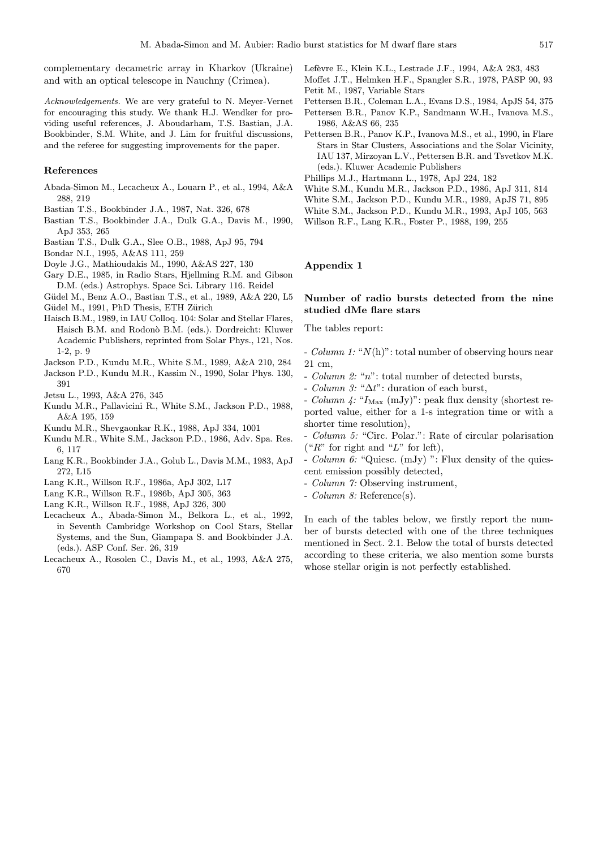complementary decametric array in Kharkov (Ukraine) and with an optical telescope in Nauchny (Crimea).

Acknowledgements. We are very grateful to N. Meyer-Vernet for encouraging this study. We thank H.J. Wendker for providing useful references, J. Aboudarham, T.S. Bastian, J.A. Bookbinder, S.M. White, and J. Lim for fruitful discussions, and the referee for suggesting improvements for the paper.

#### References

- Abada-Simon M., Lecacheux A., Louarn P., et al., 1994, A&A 288, 219
- Bastian T.S., Bookbinder J.A., 1987, Nat. 326, 678
- Bastian T.S., Bookbinder J.A., Dulk G.A., Davis M., 1990, ApJ 353, 265
- Bastian T.S., Dulk G.A., Slee O.B., 1988, ApJ 95, 794
- Bondar N.I., 1995, A&AS 111, 259
- Doyle J.G., Mathioudakis M., 1990, A&AS 227, 130
- Gary D.E., 1985, in Radio Stars, Hjellming R.M. and Gibson D.M. (eds.) Astrophys. Space Sci. Library 116. Reidel
- Güdel M., Benz A.O., Bastian T.S., et al., 1989, A&A 220, L5
- Güdel M., 1991, PhD Thesis, ETH Zürich
- Haisch B.M., 1989, in IAU Colloq. 104: Solar and Stellar Flares, Haisch B.M. and Rodonò B.M. (eds.). Dordreicht: Kluwer Academic Publishers, reprinted from Solar Phys., 121, Nos. 1-2, p. 9
- Jackson P.D., Kundu M.R., White S.M., 1989, A&A 210, 284
- Jackson P.D., Kundu M.R., Kassim N., 1990, Solar Phys. 130, 391
- Jetsu L., 1993, A&A 276, 345
- Kundu M.R., Pallavicini R., White S.M., Jackson P.D., 1988, A&A 195, 159
- Kundu M.R., Shevgaonkar R.K., 1988, ApJ 334, 1001
- Kundu M.R., White S.M., Jackson P.D., 1986, Adv. Spa. Res. 6, 117
- Lang K.R., Bookbinder J.A., Golub L., Davis M.M., 1983, ApJ 272, L15
- Lang K.R., Willson R.F., 1986a, ApJ 302, L17
- Lang K.R., Willson R.F., 1986b, ApJ 305, 363
- Lang K.R., Willson R.F., 1988, ApJ 326, 300
- Lecacheux A., Abada-Simon M., Belkora L., et al., 1992, in Seventh Cambridge Workshop on Cool Stars, Stellar Systems, and the Sun, Giampapa S. and Bookbinder J.A. (eds.). ASP Conf. Ser. 26, 319
- Lecacheux A., Rosolen C., Davis M., et al., 1993, A&A 275, 670
- Lefèvre E., Klein K.L., Lestrade J.F., 1994, A&A 283, 483 Moffet J.T., Helmken H.F., Spangler S.R., 1978, PASP 90, 93 Petit M., 1987, Variable Stars
- Pettersen B.R., Coleman L.A., Evans D.S., 1984, ApJS 54, 375
- Pettersen B.R., Panov K.P., Sandmann W.H., Ivanova M.S., 1986, A&AS 66, 235
- Pettersen B.R., Panov K.P., Ivanova M.S., et al., 1990, in Flare Stars in Star Clusters, Associations and the Solar Vicinity, IAU 137, Mirzoyan L.V., Pettersen B.R. and Tsvetkov M.K. (eds.). Kluwer Academic Publishers
- Phillips M.J., Hartmann L., 1978, ApJ 224, 182
- White S.M., Kundu M.R., Jackson P.D., 1986, ApJ 311, 814
- White S.M., Jackson P.D., Kundu M.R., 1989, ApJS 71, 895
- White S.M., Jackson P.D., Kundu M.R., 1993, ApJ 105, 563
- Willson R.F., Lang K.R., Foster P., 1988, 199, 255

## Appendix 1

#### Number of radio bursts detected from the nine studied dMe flare stars

The tables report:

- *Column 1:* " $N(h)$ ": total number of observing hours near 21 cm,

- Column 2: "n": total number of detected bursts,
- *Column 3:* " $\Delta t$ ": duration of each burst,

- Column  $\frac{1}{4}$ : " $I_{\text{Max}}$  (mJy)": peak flux density (shortest reported value, either for a 1-s integration time or with a shorter time resolution),

- Column 5: "Circ. Polar.": Rate of circular polarisation ("R" for right and "L" for left),

- *Column 6:* "Quiesc. (mJy) ": Flux density of the quiescent emission possibly detected,

- Column 7: Observing instrument,
- Column 8: Reference(s).

In each of the tables below, we firstly report the number of bursts detected with one of the three techniques mentioned in Sect. 2.1. Below the total of bursts detected according to these criteria, we also mention some bursts whose stellar origin is not perfectly established.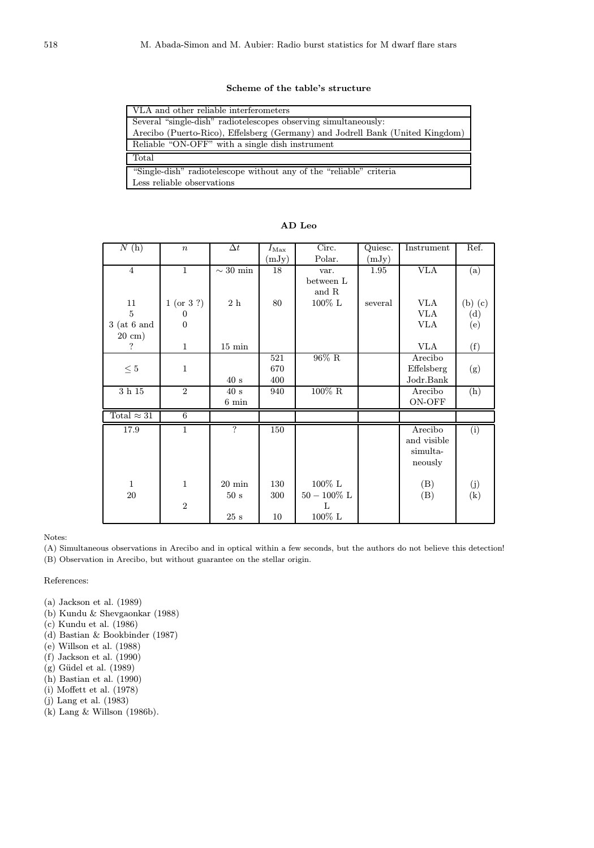## Scheme of the table's structure

| VLA and other reliable interferometers                                        |
|-------------------------------------------------------------------------------|
| Several "single-dish" radiotelescopes observing simultaneously:               |
| Arecibo (Puerto-Rico), Effelsberg (Germany) and Jodrell Bank (United Kingdom) |
| Reliable "ON-OFF" with a single dish instrument                               |
| Total                                                                         |
| "Single-dish" radiotelescope without any of the "reliable" criteria           |
| Less reliable observations                                                    |

| N(h)               | $\,n$            | $\Delta t$       | $I_\mathrm{Max}$ | Circ.          | Quiesc. | Instrument  | Ref.              |
|--------------------|------------------|------------------|------------------|----------------|---------|-------------|-------------------|
|                    |                  |                  | (mJy)            | Polar.         | (mJy)   |             |                   |
| $\overline{4}$     | $\mathbf{1}$     | $\sim 30$ min    | 18               | var.           | 1.95    | <b>VLA</b>  | (a)               |
|                    |                  |                  |                  | between L      |         |             |                   |
|                    |                  |                  |                  | and R          |         |             |                   |
| 11                 | 1 (or 3?)        | $2\ \mathrm{h}$  | 80               | $100\%$ L      | several | <b>VLA</b>  | $(b)$ $(c)$       |
| 5                  | $\boldsymbol{0}$ |                  |                  |                |         | <b>VLA</b>  | (d)               |
| $3$ (at 6 and      | $\overline{0}$   |                  |                  |                |         | VLA         | (e)               |
| $20 \text{ cm}$ )  |                  |                  |                  |                |         |             |                   |
| ?                  | $\mathbf{1}$     | $15 \text{ min}$ |                  |                |         | <b>VLA</b>  | (f)               |
|                    |                  |                  | 521              | $96\%$ R       |         | Arecibo     |                   |
| $\leq 5$           | $\mathbf{1}$     |                  | 670              |                |         | Effelsberg  | (g)               |
|                    |                  | 40 s             | 400              |                |         | Jodr.Bank   |                   |
| $3$ h $15$         | $\overline{2}$   | 40 s             | 940              | $100\%$ R      |         | Arecibo     | (h)               |
|                    |                  | $6 \text{ min}$  |                  |                |         | ON-OFF      |                   |
| Total $\approx 31$ | $\overline{6}$   |                  |                  |                |         |             |                   |
| 17.9               | $\mathbf{1}$     | $\overline{?}$   | 150              |                |         | Arecibo     | (i)               |
|                    |                  |                  |                  |                |         | and visible |                   |
|                    |                  |                  |                  |                |         | simulta-    |                   |
|                    |                  |                  |                  |                |         | neously     |                   |
|                    |                  |                  |                  |                |         |             |                   |
| $\mathbf{1}$       | $\mathbf{1}$     | $20 \text{ min}$ | 130              | $100\%$ L      |         | (B)         | (j)               |
| 20                 |                  | 50 s             | 300              | $50 - 100\%$ L |         | (B)         | $\left( k\right)$ |
|                    | $\overline{2}$   |                  |                  | L              |         |             |                   |
|                    |                  | $25\ \mathrm{s}$ | 10               | $100\%$ L      |         |             |                   |

#### AD Leo

## Notes:

(A) Simultaneous observations in Arecibo and in optical within a few seconds, but the authors do not believe this detection!

(B) Observation in Arecibo, but without guarantee on the stellar origin.

### References:

(a) Jackson et al. (1989)

- (b) Kundu & Shevgaonkar (1988)
- (c) Kundu et al. (1986)
- (d) Bastian & Bookbinder (1987)
- (e) Willson et al. (1988)
- (f) Jackson et al. (1990)
- $(g)$  Güdel et al.  $(1989)$
- (h) Bastian et al. (1990)
- (i) Moffett et al. (1978)
- (j) Lang et al. (1983)
- (k) Lang & Willson (1986b).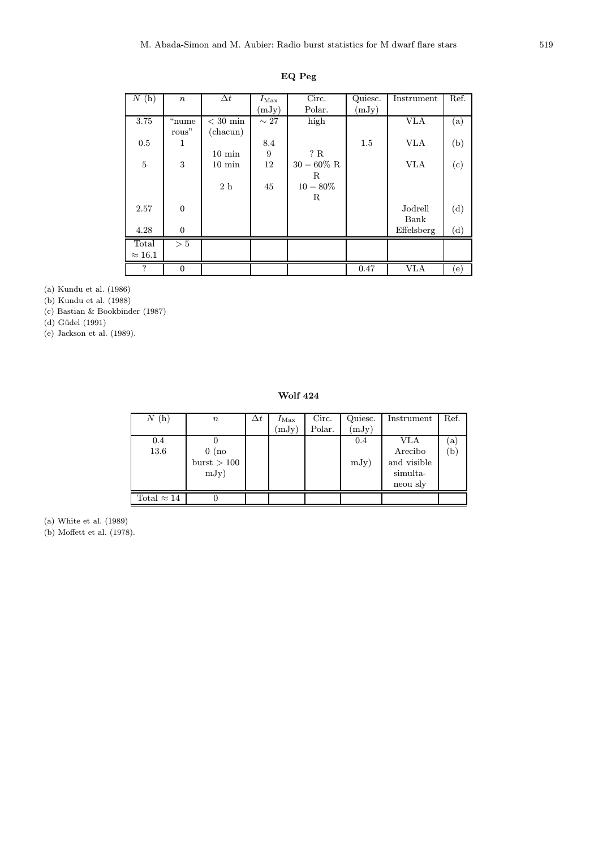| N(h)           | $\boldsymbol{n}$ | $\Delta t$       | $I_\mathrm{Max}$ | Circ.       | Quiesc. | Instrument | Ref.                       |
|----------------|------------------|------------------|------------------|-------------|---------|------------|----------------------------|
|                |                  |                  | (mJy)            | Polar.      | (mJy)   |            |                            |
| 3.75           | "nume            | $<$ 30 min       | $\sim 27$        | high        |         | <b>VLA</b> | $\rm (a)$                  |
|                | rous"            | (charun)         |                  |             |         |            |                            |
| 0.5            | 1                |                  | 8.4              |             | 1.5     | <b>VLA</b> | (b)                        |
|                |                  | $10 \text{ min}$ | 9                | ? R         |         |            |                            |
| $\bf 5$        | 3                | $10 \text{ min}$ | 12               | $30-60\%$ R |         | <b>VLA</b> | (c)                        |
|                |                  |                  |                  | R           |         |            |                            |
|                |                  | 2h               | 45               | $10 - 80\%$ |         |            |                            |
|                |                  |                  |                  | R           |         |            |                            |
| 2.57           | $\boldsymbol{0}$ |                  |                  |             |         | Jodrell    | (d)                        |
|                |                  |                  |                  |             |         | Bank       |                            |
| 4.28           | $\theta$         |                  |                  |             |         | Effelsberg | (d)                        |
| Total          | $> 5$            |                  |                  |             |         |            |                            |
| $\approx 16.1$ |                  |                  |                  |             |         |            |                            |
| ?              | $\boldsymbol{0}$ |                  |                  |             | 0.47    | <b>VLA</b> | $\left( \mathrm{e}\right)$ |

EQ Peg

(a) Kundu et al. (1986)

(b) Kundu et al. (1988)

(c) Bastian & Bookbinder (1987)

(d) Güdel (1991)

(e) Jackson et al. (1989).

Wolf 424

| $N(\mathrm{h})$    | $\it n$                                   | $\Delta t$ | $I_{\rm Max}$<br>(mJy) | Circ.<br>Polar. | Quiesc.<br>(mJy) | Instrument                                            | Ref.                     |
|--------------------|-------------------------------------------|------------|------------------------|-----------------|------------------|-------------------------------------------------------|--------------------------|
| 0.4<br>13.6        | $0 \ (\mathrm{no}$<br>burst > 100<br>mJy) |            |                        |                 | 0.4<br>mJy)      | VLA<br>Arecibo<br>and visible<br>simulta-<br>neou sly | $\alpha$<br>$\mathbf{b}$ |
| Total $\approx 14$ |                                           |            |                        |                 |                  |                                                       |                          |

(a) White et al. (1989)

(b) Moffett et al. (1978).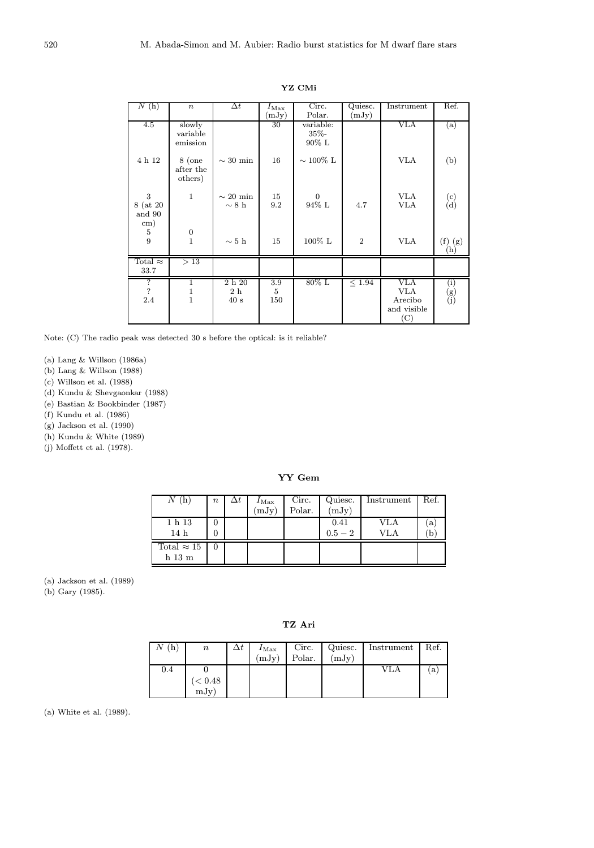| N(h)                                         | $\boldsymbol{n}$                               | $\Delta t$                  | $I_{\rm Max}$<br>(mJy) | Circ.<br>Polar.                   | Quiesc.<br>(mJy) | Instrument                                                          | Ref.               |
|----------------------------------------------|------------------------------------------------|-----------------------------|------------------------|-----------------------------------|------------------|---------------------------------------------------------------------|--------------------|
| 4.5                                          | slowly<br>variable<br>emission                 |                             | 30                     | variable:<br>$35\% -$<br>$90\%$ L |                  | <b>VLA</b>                                                          | (a)                |
| 4 h 12                                       | $8$ (one<br>after the<br>others)               | $\sim 30$ min               | 16                     | $\sim 100\%$ L                    |                  | VLA                                                                 | (b)                |
| 3<br>8 (at 20)<br>and 90<br>$\,\mathrm{cm})$ | $\mathbf{1}$                                   | $\sim 20$ min<br>$\sim 8$ h | 15<br>9.2              | $\mathbf{0}$<br>94% L             | 4.7              | <b>VLA</b><br><b>VLA</b>                                            | (c)<br>(d)         |
| 5<br>9                                       | $\boldsymbol{0}$<br>$\overline{1}$             | $\sim$ 5 h                  | 15                     | 100% L                            | $\overline{2}$   | <b>VLA</b>                                                          | $(f)$ $(g)$<br>(h) |
| Total $\approx$<br>33.7                      | >13                                            |                             |                        |                                   |                  |                                                                     |                    |
| $\overline{?}$<br>$\overline{?}$<br>2.4      | $\overline{1}$<br>$\mathbf{1}$<br>$\mathbf{1}$ | 2h20<br>2h<br>40 s          | 3.9<br>5<br>150        | $80\%$ L                          | < 1.94           | VLA<br>VLA<br>Arecibo<br>and visible<br>$\left( \mathrm{C} \right)$ | (i)<br>(g)<br>(j)  |

YZ CMi

Note: (C) The radio peak was detected 30 s before the optical: is it reliable?

(a) Lang & Willson (1986a)

(b) Lang & Willson (1988)

(c) Willson et al. (1988)

(d) Kundu & Shevgaonkar (1988)

(e) Bastian & Bookbinder (1987)

(f) Kundu et al. (1986)

(g) Jackson et al. (1990)

(h) Kundu & White (1989)

(j) Moffett et al. (1978).

YY Gem

| Ν                  | $\boldsymbol{n}$ | $\Delta t$ | $I_{\rm Max}$ | Circ.  | Quiesc.   | Instrument | Ref. |
|--------------------|------------------|------------|---------------|--------|-----------|------------|------|
|                    |                  |            | (mJy)         | Polar. | (mJy)     |            |      |
| 1 h 13             |                  |            |               |        | 0.41      | VLA        | a    |
| 14h                | 0                |            |               |        | $0.5 - 2$ | VLA        |      |
| Total $\approx 15$ |                  |            |               |        |           |            |      |
| $h$ 13 $m$         |                  |            |               |        |           |            |      |

(a) Jackson et al. (1989)

(b) Gary (1985).

TZ Ari

| (h) | $\it n$ | $I_{\rm Max}$<br>(mJy) | Circ.<br>Polar. | Quiesc.<br>(mJy) | Instrument | Ref. |
|-----|---------|------------------------|-----------------|------------------|------------|------|
| 0.4 |         |                        |                 |                  | VLA        | a    |
|     | < 0.48  |                        |                 |                  |            |      |
|     | mJy)    |                        |                 |                  |            |      |

(a) White et al. (1989).